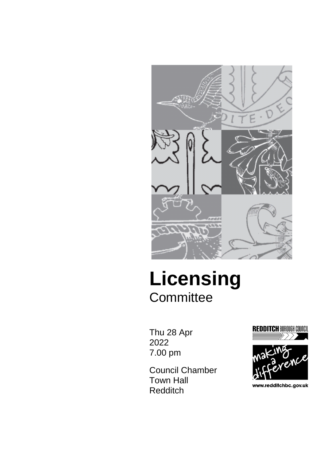

# **Licensing Committee**

Thu 28 Apr 2022 7.00 pm

Council Chamber Town Hall Redditch



www.redditchbc.gov.uk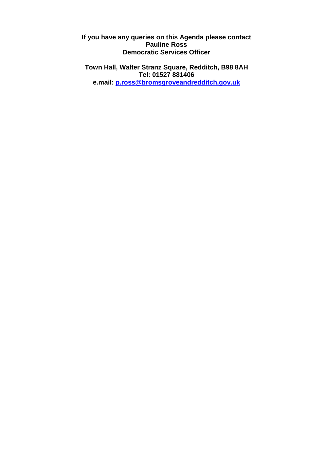**If you have any queries on this Agenda please contact Pauline Ross Democratic Services Officer**

**Town Hall, Walter Stranz Square, Redditch, B98 8AH Tel: 01527 881406 e.mail: [p.ross@bromsgroveandredditch.gov.uk](mailto:p.ross@bromsgroveandredditch.gov.uk)**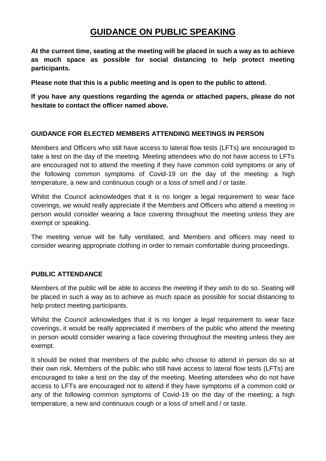## **GUIDANCE ON PUBLIC SPEAKING**

**At the current time, seating at the meeting will be placed in such a way as to achieve as much space as possible for social distancing to help protect meeting participants.**

**Please note that this is a public meeting and is open to the public to attend.**

**If you have any questions regarding the agenda or attached papers, please do not hesitate to contact the officer named above.**

### **GUIDANCE FOR ELECTED MEMBERS ATTENDING MEETINGS IN PERSON**

Members and Officers who still have access to lateral flow tests (LFTs) are encouraged to take a test on the day of the meeting. Meeting attendees who do not have access to LFTs are encouraged not to attend the meeting if they have common cold symptoms or any of the following common symptoms of Covid-19 on the day of the meeting: a high temperature, a new and continuous cough or a loss of smell and / or taste.

Whilst the Council acknowledges that it is no longer a legal requirement to wear face coverings, we would really appreciate if the Members and Officers who attend a meeting in person would consider wearing a face covering throughout the meeting unless they are exempt or speaking.

The meeting venue will be fully ventilated, and Members and officers may need to consider wearing appropriate clothing in order to remain comfortable during proceedings.

### **PUBLIC ATTENDANCE**

Members of the public will be able to access the meeting if they wish to do so. Seating will be placed in such a way as to achieve as much space as possible for social distancing to help protect meeting participants.

Whilst the Council acknowledges that it is no longer a legal requirement to wear face coverings, it would be really appreciated if members of the public who attend the meeting in person would consider wearing a face covering throughout the meeting unless they are exempt.

It should be noted that members of the public who choose to attend in person do so at their own risk. Members of the public who still have access to lateral flow tests (LFTs) are encouraged to take a test on the day of the meeting. Meeting attendees who do not have access to LFTs are encouraged not to attend if they have symptoms of a common cold or any of the following common symptoms of Covid-19 on the day of the meeting; a high temperature, a new and continuous cough or a loss of smell and / or taste.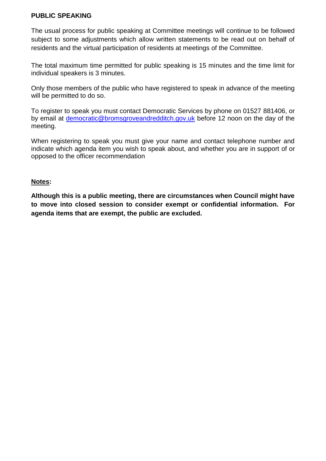#### **PUBLIC SPEAKING**

The usual process for public speaking at Committee meetings will continue to be followed subject to some adjustments which allow written statements to be read out on behalf of residents and the virtual participation of residents at meetings of the Committee.

The total maximum time permitted for public speaking is 15 minutes and the time limit for individual speakers is 3 minutes.

Only those members of the public who have registered to speak in advance of the meeting will be permitted to do so.

To register to speak you must contact Democratic Services by phone on 01527 881406, or by email at [democratic@bromsgroveandredditch.gov.uk](mailto:democratic@bromsgroveandredditch.gov.uk) before 12 noon on the day of the meeting.

When registering to speak you must give your name and contact telephone number and indicate which agenda item you wish to speak about, and whether you are in support of or opposed to the officer recommendation

#### **Notes:**

**Although this is a public meeting, there are circumstances when Council might have to move into closed session to consider exempt or confidential information. For agenda items that are exempt, the public are excluded.**